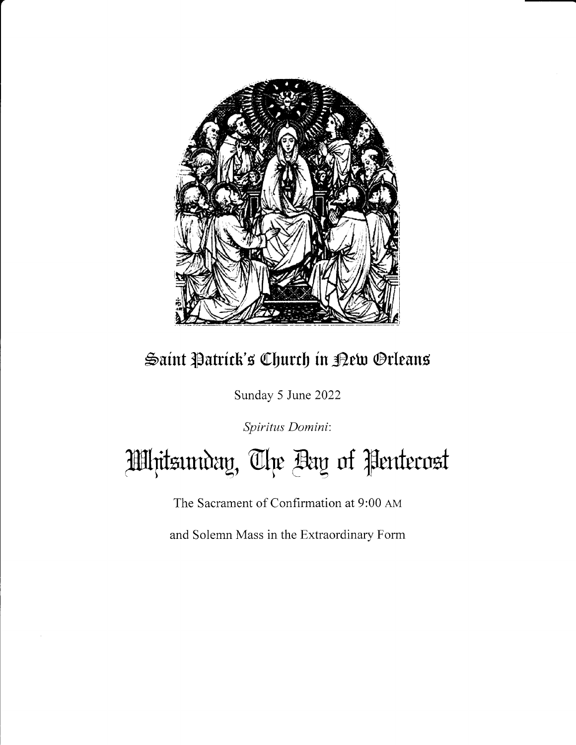

# Saint Patrick's Church in Pew Orleans

Sunday 5 June 2022

Spiritus Domini:

Hlljitsunday, The Bay of Pentecost

The Sacrament of Confirmation at 9:00 AM

and Solemn Mass in the Extraordinary Form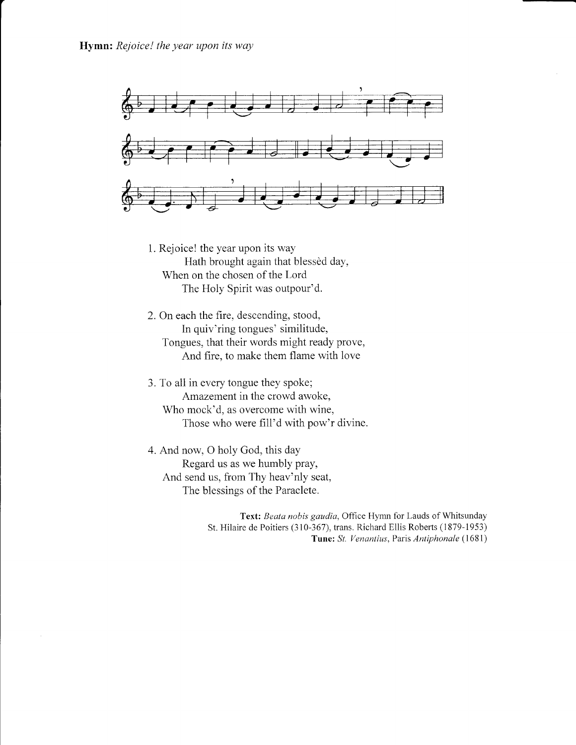

- 1. Rejoice! the year upon its way Hath brought again that blessèd day, When on the chosen of the Lord The Holy Spirit was outpour'd.
- 2. On each the fire, descending, stood, In quiv'ring tongues' similitude, Tongues, that their words might ready prove, And fire, to make them flame with love
- 3. To all in every tongue they spoke; Amazement in the crowd awoke, Who mock'd, as overcome with wine, Those who were fill'd with pow'r divine.
- 4. And now, O holy God, this day Regard us as we humbly pray, And send us, from Thy heav'nly seat, The blessings of the Paraclete.

Text: Beata nobis gaudia, Office Hymn for Lauds of Whitsunday St. Hilaire de Poitiers (310-367), trans. Richard Ellis Roberts (1879-1953) Tune: St. Venantius, Paris Antiphonale (1681)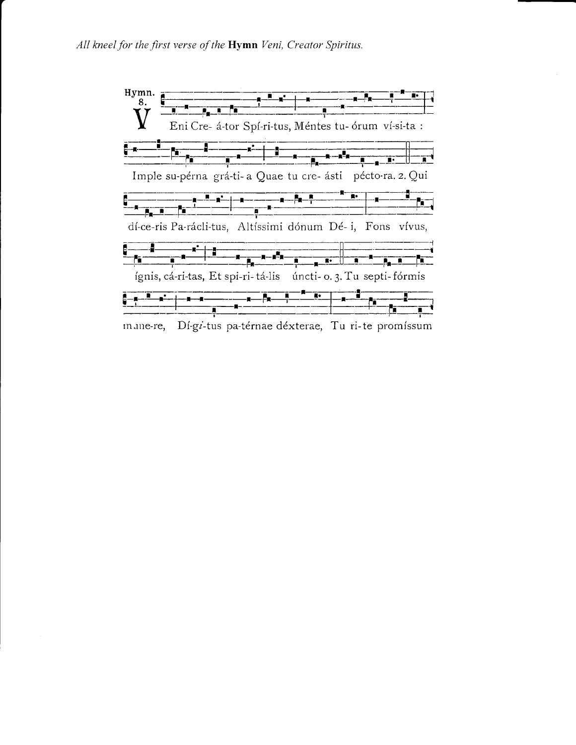

mane-re, Dí-gi-tus pa-térnae déxterae, Tu ri-te promíssum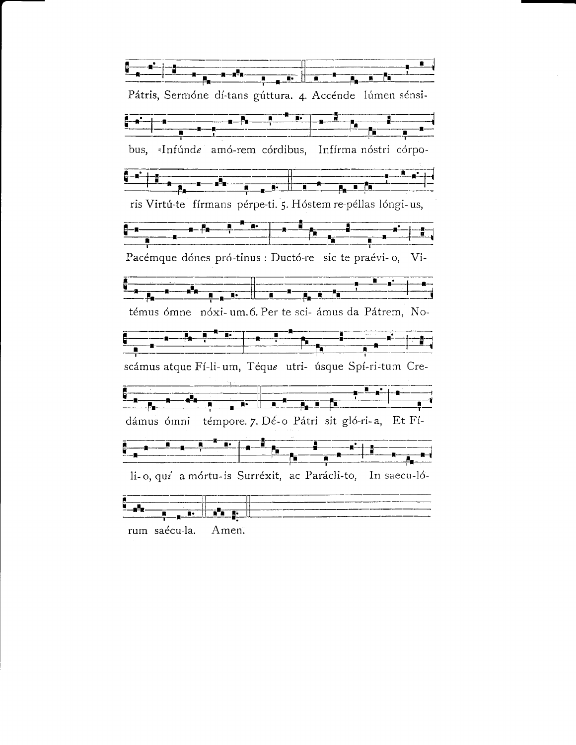Pátris, Sermóne dí-tans gúttura. 4. Accénde lúmen sénsi-<del>▁▁▁▁▁▁▁▁</del><br>▁▁▁▁▁▗▁▕<sub>▛</sub>▁▁▁▁▝▁▝▘▝▘▕▏▁▖▁▏▝▁▁▁▁▁▁▁▁▁▁▁▁▁▁▁▁<br>▝▘▔▝▏▔▔▔▔▔▔▔▔▔▔▔▔▔▔▔▔▔▔▔▔▔▔▔▔▔▔▔▔▔▔▔ bus, «Infúnde amó-rem córdibus, Infírma nóstri córpo-ris Virtú-te fírmans pérpe-ti. 5. Hóstem re-péllas lóngi-us, Pacémque dónes pró-tinus : Ductó-re sic te praévi-o, Vi-témus ómne nóxi-um.6. Per te sci-ámus da Pátrem, No-scámus atque Fí-li-um, Téque utri- úsque Spí-ri-tum Cre-dámus ómni témpore. 7. Dé-o Pátri sit gló-ri-a, Et Fí-li-o, qui a mórtu-is Surréxit, ac Parácli-to, In saecu-ló-<u>n. | na n. |</u> rum saécu-la. Amen.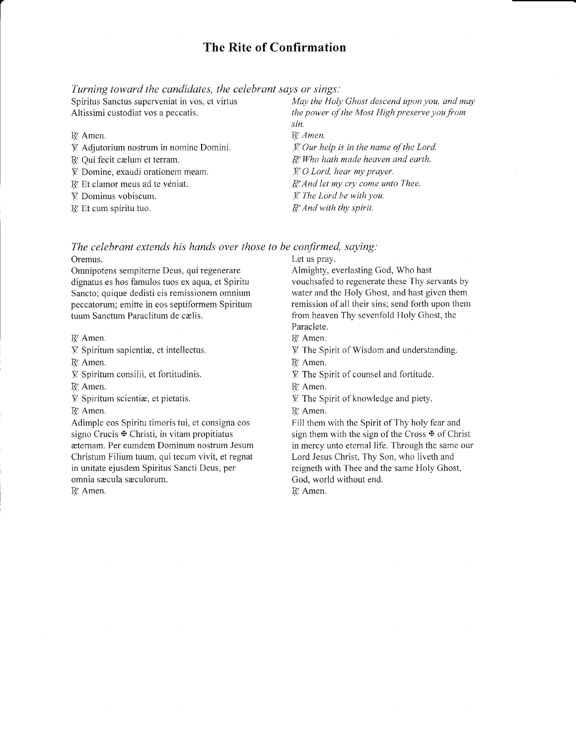# The Rite of Confirmation

Turning toward the candidates, the celebrant says or sings:

Spirifus Sanctus superveniat in vos, et virtus Altissimi custodiat vos a peccatis.

R. Amen.

- { Adjutorium nostrum in nomine Domini.
- R. Oui fecit cælum et terram.
- $\mathbf{\hat{V}}$ . Domine, exaudi orationem meam.
- IV. Et clamor meus ad te véniat.
- V Dominus vobiscum.
- $R$ . Et cum spíritu tuo.

May the Holy Ghost descend upon you, and may the power of the Most High preserve you from sin. R. Amen.  $\cancel{Y}$ . Our help is in the name of the Lord.  $R$ . Who hath made heaven and earth.  $\cancel{Y}$  O Lord, hear my prayer.  $R<sub>i</sub>$  And let my cry come unto Thee. // The Lord be with you. R. And with thy spirit.

The celebrant extends his hands over those to be confirmed, saying:

Oremus.

Omnipotens sempiterne Deus, qui regenerare dignatus es hos famulos tuos ex aqua, et Spiritu Sancto; quique dedisti eis remissionem omnium peccatorum; emitte in eos septiformem Spirirum tuum Sanctum Paraclitum de cælis.

R. Amen.

 $V$ . Spiritum sapientiæ, et intellectus.

R. Amen.

- { Spiritum consilii, et fortitudinis.
- R. Amen.
- $V$ . Spiritum scientiæ, et pietatis.

R. Amen.

Adimple eos Spiritu timoris tui, et consigna eos signo Crucis  $\mathbf{\Psi}$  Christi, in vitam propitiatus æternam. Per eumdem Dominum nostrum Jesum Christum Filium tuum, qui tecum vivit, et regnat in unitate ejusdem Spiritus Sancti Deus, per omnia sæcula sæculorum.

R. Amen.

Let us pray.

Almighty, everlasting God, Who hast vouchsafed to regenerate these Thy servants by water and the Holy Ghost, and hast given them remission of all their sins; send forth upon them from heaven Thy sevenfold Holy Ghost, the Paraclete.

- R. Amen.
- ${W}$ . The Spirit of Wisdom and understanding.
- R. Amen.
- $\hat{V}$ . The Spirit of counsel and fortitude.
- R. Amen.
- V The Spirit of knowledge and piery.
- R. Amen.

Fill them with the Spirit of Thy holy fear and sign them with the sign of the Cross  $\mathfrak{F}$  of Christ in mercy unto etemal life. Through the same our Lord Jesus Christ, Thy Son, who iiveth and reigneth with Thee and the same Holy Ghost, God, world without end. R. Amen.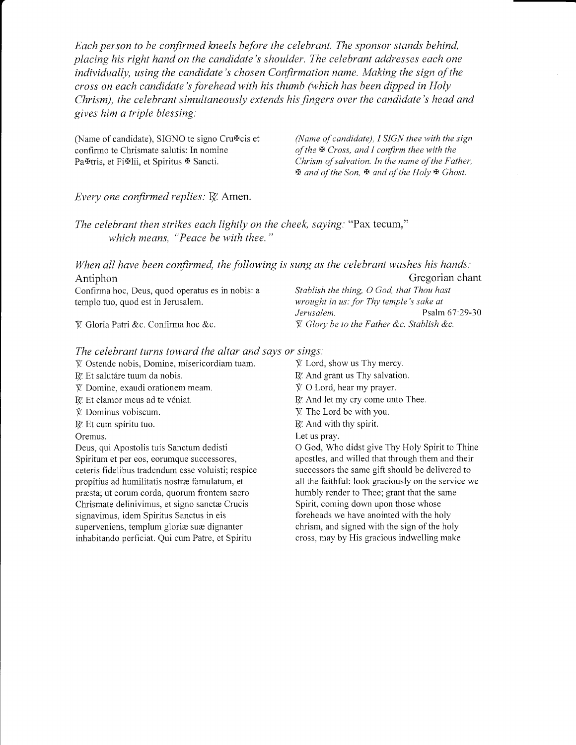Each person to be confirmed kneels before the celebrant. The sponsor stands behind, placing his right hand on the candidate's shoulder. The celebrant addresses each one individually, using the candidate's chosen Confirmation name. Making the sign of the cross on each candidate's forehead with his thumb (which has been dipped in Holy Chrism), the celebrant simultaneously extends his fingers over the candidate's head and gives him a triple blessing:

(Name of candidate), SIGNO te signo Cru $\Phi$ cis et (Name of candidate), I SIGN thee with the sign confirmo te Chrismate salutis: In nomine of the  $\Phi$  Cross, and I confirm thee with the confirmo te Chrismate salutis: In nomine Pa<sup>r</sup>tris, et Fi<sup>x</sup>ilii, et Spiritus <sup>Ext</sup> Sancti. Chrism of salvation. In the name of the Father,

 $\mathfrak{B}$  and of the Son,  $\mathfrak{B}$  and of the Holy  $\mathfrak{B}$  Ghost.

# Every one confirmed replies:  $\mathbb{R}^n$  Amen.

The celebrant then strikes each lightly on the cheek, saying: "Pax tecum," which means, "Peace be with thee."

When all have been confirmed, the following is sung as the celebrant washes his hands:<br>Antiphon Gregorian cha Gregorian chant<br>Stablish the thing, O God, that Thou hast Confirma hoc, Deus, quod operatus es in nobis: a

templo tuo, quod est in Jerusalem.<br>*wrought in us: for Thy temple's sake at*<br>*Jerusalem.* Psalm Psalm 67:29-30  $\mathbb{V}$  Gloria Patri &c. Confirma hoc &c.  $\mathbb{V}$  Glory be to the Father &c. Stablish &c.

## The celebrant turns toward the altar and says or sings:

- V Ostende nobis, Domine, misericordiam tuam.
- R. Et salutáre tuum da nobis.
- I Domine, exaudi orationem meam.
- R! Et clamor meus ad te véniat.
- V Dominus vobiscum.
- R. Et cum spíritu tuo.

Oremus.

Deus, qui Apostolis tuis Sanctum dedisti Spiritum et per eos, eorumque successores, ceteris fidelibus tradendum esse voluisti; respice propitius ad humilitatis nostre famulafum, et presta; ut eorum corda, quorum ffontem sacro Chrismate delinivimus, et signo sanctæ Crucis signavimus, idem Spiritus Sanctus in eis superveniens, templum gloriæ suæ dignanter inhabitando perficiat. Qui cum Patre, et Spiritu

 $\mathcal{V}$ . Lord, show us Thy mercy. IX. And grant us Thy salvation. Y O Lord, hear my prayer. IX. And let my cry come unto Thee.

- $V$ . The Lord be with you.
- $R$ . And with thy spirit.
- Let us pray.

O God, Who didst give Thy Holy Spirit to Thine apostles, and willed that through them and their successors the same gift should be delivered to all the faithful: look graciously on the service we humbly render to Thee; grant that the same Spirit, coming down upon those whose foreheads we have anointed with the holy chrism, and signed with the sign of the holy cross, may by His gracious indweliing make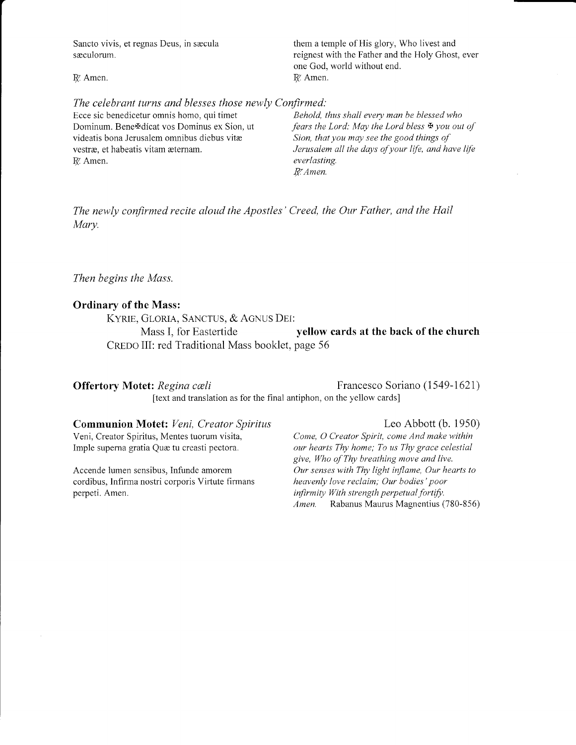Sancto vivis, et regnas Deus, in sacula them a temple of His glory, Who livest and saculorum. The reignest with the Father and the Holy Ghost, ever one God, world without end.  $I\!\!$  R. Amen. If Amen.

#### The celebrant turns and blesses those newly Confirmed:

Ecce sic benedicetur omnis homo, qui timet Behold, thus shall every man be blessed who R. Amen. everlasting.

Dominum. Bene $\text{#d}$  icat vos Dominus ex Sion, ut fears the Lord: May the Lord bless  $\text{#}$  you out of videatis bona Jerusalem omnibus diebus vitæ Sion, that you may see the good things of Sion, that you may see the good things of vestræ, et habeatis vitam æternam. Jerusalem all the days of your life, and have life R. Amen.

The newly confirmed recite aloud the Apostles' Creed, the Our Father, and the Hail Mary.

#### Then begins the Mass.

## Ordinary of the Mass:

KYRIE, GLORIA, SANCTUS, & AGNUS DEI: Mass I, for Eastertide yellow cards at the back of the church CREDO III: red Traditional Mass booklet, page 56

# **Offertory Motet:** Regina cæli Francesco Soriano (1549-1621) [text and translation as for the final antiphon, on the yellow cards]

# **Communion Motet:** *Veni, Creator Spiritus*<br>
Veni, Creator Spiritus, Mentes tuorum visita, *Come, O Creator Spirit, come And make within*

cordibus, Infirma nostri corporis Virtute firmans

Come, O Creator Spirit, come And make within Imple superna gratia Quae tu creasti pectora. our hearts Thy home; To us Thy grace celestial give, Who of Thy breathing move and live. Accende lumen sensibus, Infunde amorem *Our senses with Thy light inflame, Our hearts to* cordibus, Infirma nostri corporis Virtute firmans *heavenly love reclaim; Our bodies' poor* perpeti. Amen.<br>*infirmity With strength perpetual fortify.*<br>*Amen.* Rabanus Maurus Magnentius ( Rabanus Maurus Magnentius (780-856)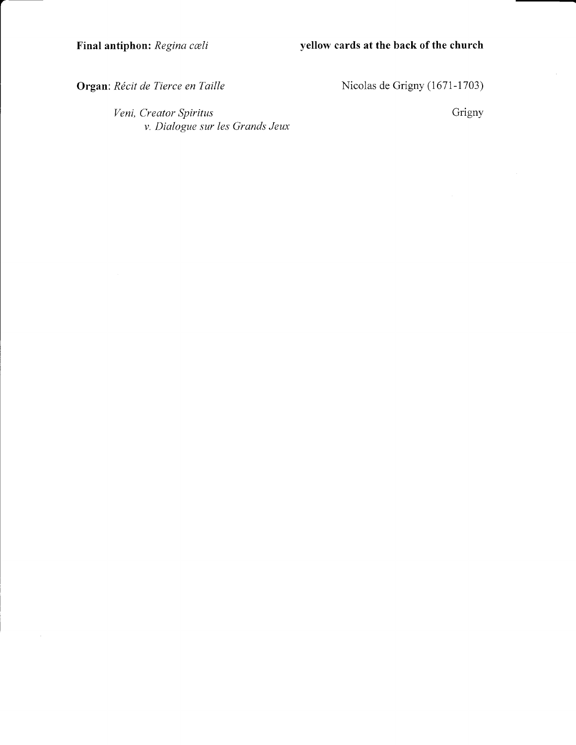Organ: Récit de Tierce en Taille

Nicolas de Grigny (1671-1703)

Veni, Creator Spiritus v. Dialogue sur les Grands Jeux Grigny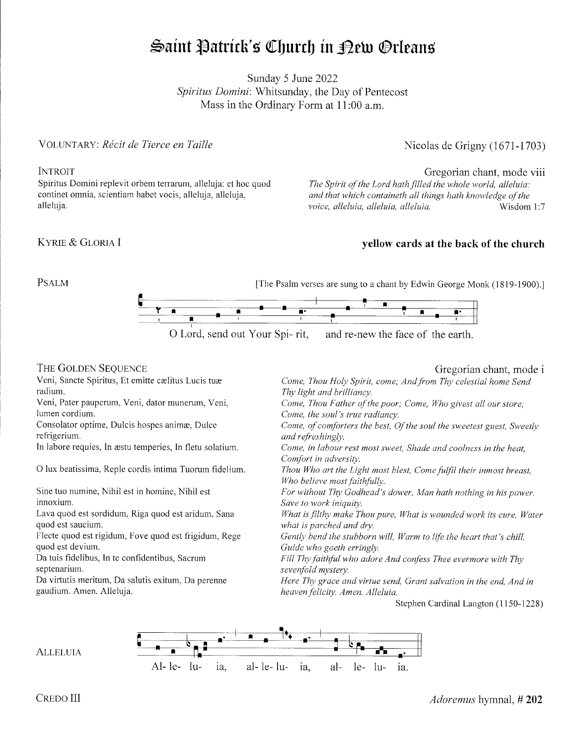# Saint Patrick's Church in Pew Orleans

Sunday 5 June 2022 Spiritus Domini: Whitsunday, the Day of Pentecost Mass in the Ordinary Form at 1l:00 a.m.

# VOLUNTARY: Récit de Tierce en Taille

# **INTROIT**

Spiritus Domini replevit orbem terrarum, alleluja: et hoc quod continet omnia, scientiam habet vocis, alleluja, alleluja, alleluja.

## KYRIE & GLORIA I

# Nicolas de Grigny (1671-1703)

# Gregorian chant, mode viii

The Spirit of the Lord hath filled the whole world, alleluia: and that which containeth all things hath knowledge of the voice, alleluia, alleluia, alleluia. voice, alleluia, alleluia, musulmana visdom 1:7

# yellow cards at the back of the church

PSALM





## THE GOLDEN SEQUENCE

Veni, Sancte Spiritus, Et emitte cælitus Lucis tuæ radium.

Veni, Pater pauperum, Veni, dator munerum, Veni, lumen cordium.

Consolator optime, Dulcis hospes animæ, Dulce refrigerium.

In labore requies, In æstu temperies, In fletu solatium.

O lux beatissima, Reple cordis intima Tuorum fidelium.

Sine tuo numine, Nihil est in homine, Nihil est innoxium.

Lava quod est sordidum, Riga quod est aridum, Sana quod est saucium.

Flecte quod est rigidum, Fove quod est fiigidum, Rege quod est devium.

Da tuis fidelibus, In te confidentibus, Sacrum septenarium.

Da viftutis meritum, Da salutis exitum, Da perenne gaudium. Amen. Alleluja.

# Gregorian chant, mode i

Come, Thou Holy Spirit, come; And from Thy celestial home Send Thy light and brilliancy. Come, Thou Father of the poor; Come, Who givest all our store; Come, the soul's true radiancy. Come, of comforters the best, Of the soul the sweetest guest, Sweetly and refreshingly. Come, in labour rest most sweet, Shade and coolness in the heat, Comfort in adversity. Thou Who art the Light most blest, Come fulfil their inmost breast, Who believe most faithfully. For without Thy Godhead's dower, Man hath nothing in his power, Save to work iniquity. What is filthy make Thou pure, What is wounded work its cure, Water what is parched and dry. Gently bend the stubborn will, Warm to life the heart that's chill, Guide who goeth erringly. Fill Thy faithful who adore And confess Thee evermore with Thy sevenfold mystery. Here Thy grace and virtue send, Grant salvation in the end, And in heaven felicity. Amen. Alleluia.

Stephen Cardinal Langton (1150-1228)



**ALLELUIA**